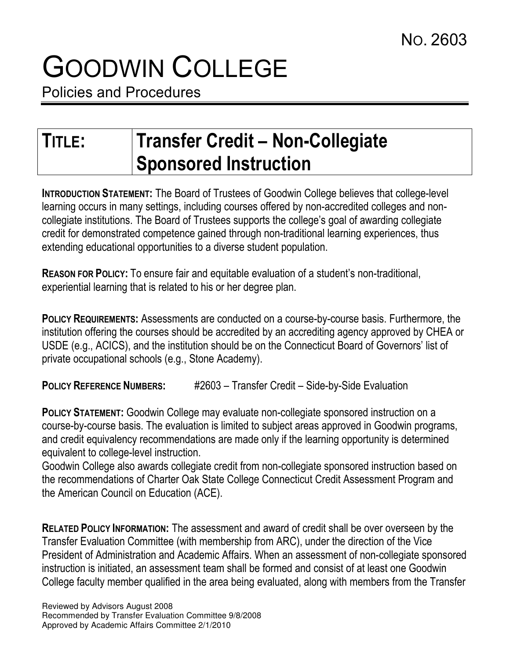## GOODWIN COLLEGE

Policies and Procedures

## TITLE: Transfer Credit – Non-Collegiate Sponsored Instruction

INTRODUCTION STATEMENT: The Board of Trustees of Goodwin College believes that college-level learning occurs in many settings, including courses offered by non-accredited colleges and noncollegiate institutions. The Board of Trustees supports the college's goal of awarding collegiate credit for demonstrated competence gained through non-traditional learning experiences, thus extending educational opportunities to a diverse student population.

REASON FOR POLICY: To ensure fair and equitable evaluation of a student's non-traditional, experiential learning that is related to his or her degree plan.

POLICY REQUIREMENTS: Assessments are conducted on a course-by-course basis. Furthermore, the institution offering the courses should be accredited by an accrediting agency approved by CHEA or USDE (e.g., ACICS), and the institution should be on the Connecticut Board of Governors' list of private occupational schools (e.g., Stone Academy).

POLICY REFERENCE NUMBERS: #2603 – Transfer Credit – Side-by-Side Evaluation

POLICY STATEMENT: Goodwin College may evaluate non-collegiate sponsored instruction on a course-by-course basis. The evaluation is limited to subject areas approved in Goodwin programs, and credit equivalency recommendations are made only if the learning opportunity is determined equivalent to college-level instruction.

Goodwin College also awards collegiate credit from non-collegiate sponsored instruction based on the recommendations of Charter Oak State College Connecticut Credit Assessment Program and the American Council on Education (ACE).

RELATED POLICY INFORMATION: The assessment and award of credit shall be over overseen by the Transfer Evaluation Committee (with membership from ARC), under the direction of the Vice President of Administration and Academic Affairs. When an assessment of non-collegiate sponsored instruction is initiated, an assessment team shall be formed and consist of at least one Goodwin College faculty member qualified in the area being evaluated, along with members from the Transfer